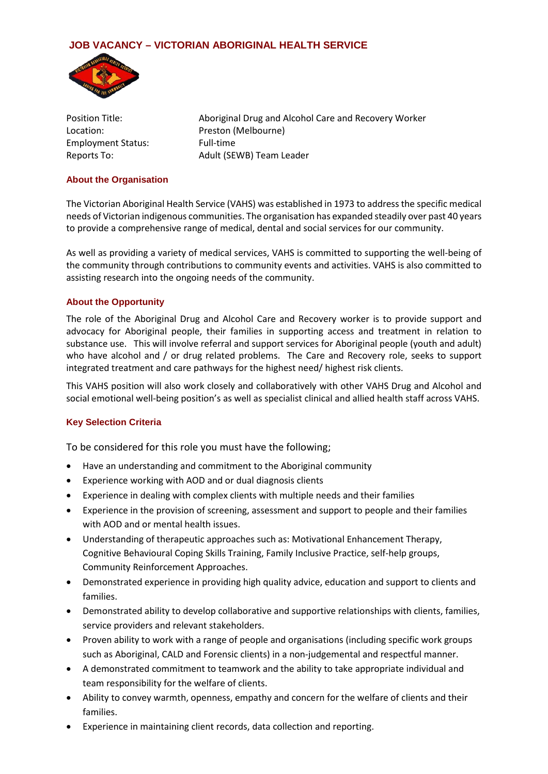# **JOB VACANCY – VICTORIAN ABORIGINAL HEALTH SERVICE**



Employment Status: Full-time

Position Title: Aboriginal Drug and Alcohol Care and Recovery Worker Location: Preston (Melbourne) Reports To: Adult (SEWB) Team Leader

## **About the Organisation**

The Victorian Aboriginal Health Service (VAHS) was established in 1973 to address the specific medical needs of Victorian indigenous communities. The organisation has expanded steadily over past 40 years to provide a comprehensive range of medical, dental and social services for our community.

As well as providing a variety of medical services, VAHS is committed to supporting the well-being of the community through contributions to community events and activities. VAHS is also committed to assisting research into the ongoing needs of the community.

## **About the Opportunity**

The role of the Aboriginal Drug and Alcohol Care and Recovery worker is to provide support and advocacy for Aboriginal people, their families in supporting access and treatment in relation to substance use. This will involve referral and support services for Aboriginal people (youth and adult) who have alcohol and / or drug related problems. The Care and Recovery role, seeks to support integrated treatment and care pathways for the highest need/ highest risk clients.

This VAHS position will also work closely and collaboratively with other VAHS Drug and Alcohol and social emotional well-being position's as well as specialist clinical and allied health staff across VAHS.

## **Key Selection Criteria**

To be considered for this role you must have the following;

- Have an understanding and commitment to the Aboriginal community
- Experience working with AOD and or dual diagnosis clients
- Experience in dealing with complex clients with multiple needs and their families
- Experience in the provision of screening, assessment and support to people and their families with AOD and or mental health issues.
- Understanding of therapeutic approaches such as: Motivational Enhancement Therapy, Cognitive Behavioural Coping Skills Training, Family Inclusive Practice, self-help groups, Community Reinforcement Approaches.
- Demonstrated experience in providing high quality advice, education and support to clients and families.
- Demonstrated ability to develop collaborative and supportive relationships with clients, families, service providers and relevant stakeholders.
- Proven ability to work with a range of people and organisations (including specific work groups such as Aboriginal, CALD and Forensic clients) in a non-judgemental and respectful manner.
- A demonstrated commitment to teamwork and the ability to take appropriate individual and team responsibility for the welfare of clients.
- Ability to convey warmth, openness, empathy and concern for the welfare of clients and their families.
- Experience in maintaining client records, data collection and reporting.